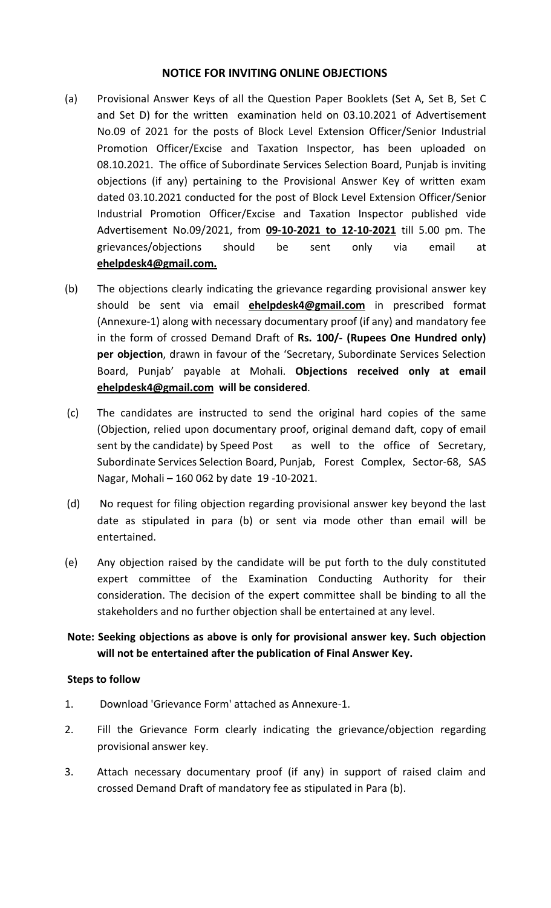#### NOTICE FOR INVITING ONLINE OBJECTIONS

- (a) Provisional Answer Keys of all the Question Paper Booklets (Set A, Set B, Set C and Set D) for the written examination held on 03.10.2021 of Advertisement No.09 of 2021 for the posts of Block Level Extension Officer/Senior Industrial Promotion Officer/Excise and Taxation Inspector, has been uploaded on 08.10.2021. The office of Subordinate Services Selection Board, Punjab is inviting objections (if any) pertaining to the Provisional Answer Key of written exam dated 03.10.2021 conducted for the post of Block Level Extension Officer/Senior Industrial Promotion Officer/Excise and Taxation Inspector published vide Advertisement No.09/2021, from 09-10-2021 to 12-10-2021 till 5.00 pm. The grievances/objections should be sent only via email at ehelpdesk4@gmail.com.
- (b) The objections clearly indicating the grievance regarding provisional answer key should be sent via email **ehelpdesk4@gmail.com** in prescribed format (Annexure-1) along with necessary documentary proof (if any) and mandatory fee in the form of crossed Demand Draft of Rs. 100/- (Rupees One Hundred only) per objection, drawn in favour of the 'Secretary, Subordinate Services Selection Board, Punjab' payable at Mohali. Objections received only at email ehelpdesk4@gmail.com will be considered.
- (c) The candidates are instructed to send the original hard copies of the same (Objection, relied upon documentary proof, original demand daft, copy of email sent by the candidate) by Speed Post as well to the office of Secretary, Subordinate Services Selection Board, Punjab, Forest Complex, Sector-68, SAS Nagar, Mohali – 160 062 by date 19 -10-2021.
- (d) No request for filing objection regarding provisional answer key beyond the last date as stipulated in para (b) or sent via mode other than email will be entertained.
- (e) Any objection raised by the candidate will be put forth to the duly constituted expert committee of the Examination Conducting Authority for their consideration. The decision of the expert committee shall be binding to all the stakeholders and no further objection shall be entertained at any level.

## Note: Seeking objections as above is only for provisional answer key. Such objection will not be entertained after the publication of Final Answer Key.

#### Steps to follow

- 1. Download 'Grievance Form' attached as Annexure-1.
- 2. Fill the Grievance Form clearly indicating the grievance/objection regarding provisional answer key.
- 3. Attach necessary documentary proof (if any) in support of raised claim and crossed Demand Draft of mandatory fee as stipulated in Para (b).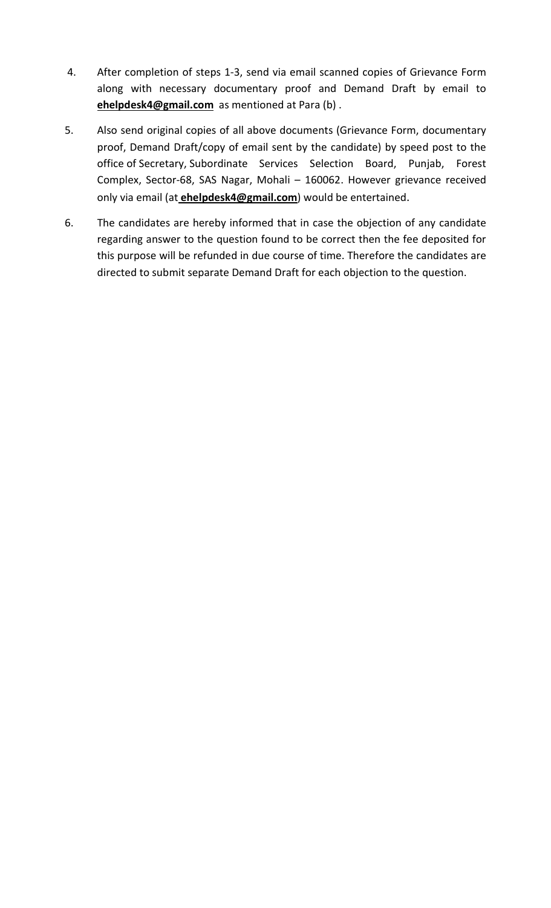- 4. After completion of steps 1-3, send via email scanned copies of Grievance Form along with necessary documentary proof and Demand Draft by email to ehelpdesk4@gmail.com as mentioned at Para (b).
- 5. Also send original copies of all above documents (Grievance Form, documentary proof, Demand Draft/copy of email sent by the candidate) by speed post to the office of Secretary, Subordinate Services Selection Board, Punjab, Forest Complex, Sector-68, SAS Nagar, Mohali – 160062. However grievance received only via email (at *ehelpdesk4@gmail.com*) would be entertained.
- 6. The candidates are hereby informed that in case the objection of any candidate regarding answer to the question found to be correct then the fee deposited for this purpose will be refunded in due course of time. Therefore the candidates are directed to submit separate Demand Draft for each objection to the question.